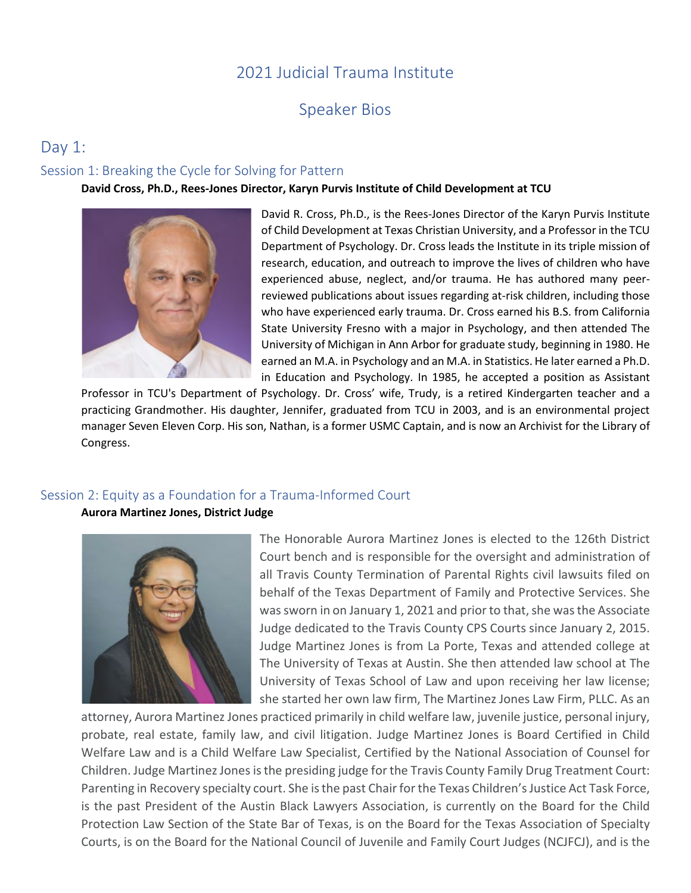# 2021 Judicial Trauma Institute

# Speaker Bios

# Day 1:

# Session 1: Breaking the Cycle for Solving for Pattern

# **David Cross, Ph.D., Rees-Jones Director, Karyn Purvis Institute of Child Development at TCU**



David R. Cross, Ph.D., is the Rees-Jones Director of the Karyn Purvis Institute of Child Development at Texas Christian University, and a Professor in the TCU Department of Psychology. Dr. Cross leads the Institute in its triple mission of research, education, and outreach to improve the lives of children who have experienced abuse, neglect, and/or trauma. He has authored many peerreviewed publications about issues regarding at-risk children, including those who have experienced early trauma. Dr. Cross earned his B.S. from California State University Fresno with a major in Psychology, and then attended The University of Michigan in Ann Arbor for graduate study, beginning in 1980. He earned an M.A. in Psychology and an M.A. in Statistics. He later earned a Ph.D. in Education and Psychology. In 1985, he accepted a position as Assistant

Professor in TCU's Department of Psychology. Dr. Cross' wife, Trudy, is a retired Kindergarten teacher and a practicing Grandmother. His daughter, Jennifer, graduated from TCU in 2003, and is an environmental project manager Seven Eleven Corp. His son, Nathan, is a former USMC Captain, and is now an Archivist for the Library of Congress.

# Session 2: Equity as a Foundation for a Trauma-Informed Court

## **Aurora Martinez Jones, District Judge**



The Honorable Aurora Martinez Jones is elected to the 126th District Court bench and is responsible for the oversight and administration of all Travis County Termination of Parental Rights civil lawsuits filed on behalf of the Texas Department of Family and Protective Services. She was sworn in on January 1, 2021 and prior to that, she was the Associate Judge dedicated to the Travis County CPS Courts since January 2, 2015. Judge Martinez Jones is from La Porte, Texas and attended college at The University of Texas at Austin. She then attended law school at The University of Texas School of Law and upon receiving her law license; she started her own law firm, The Martinez Jones Law Firm, PLLC. As an

attorney, Aurora Martinez Jones practiced primarily in child welfare law, juvenile justice, personal injury, probate, real estate, family law, and civil litigation. Judge Martinez Jones is Board Certified in Child Welfare Law and is a Child Welfare Law Specialist, Certified by the National Association of Counsel for Children. Judge Martinez Jones is the presiding judge for the Travis County Family Drug Treatment Court: Parenting in Recovery specialty court. She is the past Chair for the Texas Children's Justice Act Task Force, is the past President of the Austin Black Lawyers Association, is currently on the Board for the Child Protection Law Section of the State Bar of Texas, is on the Board for the Texas Association of Specialty Courts, is on the Board for the National Council of Juvenile and Family Court Judges (NCJFCJ), and is the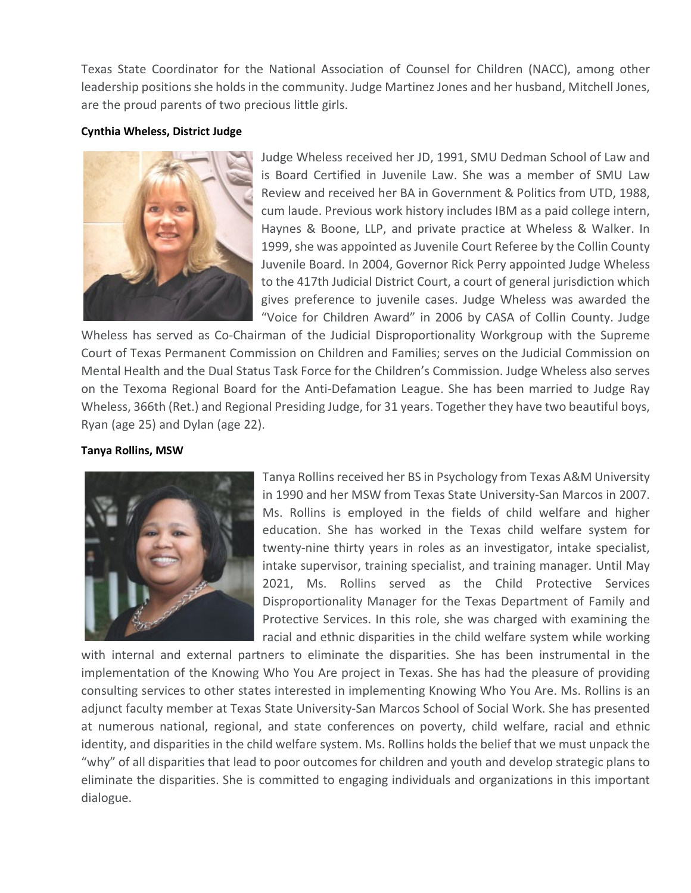Texas State Coordinator for the National Association of Counsel for Children (NACC), among other leadership positions she holds in the community. Judge Martinez Jones and her husband, Mitchell Jones, are the proud parents of two precious little girls.

# **Cynthia Wheless, District Judge**



Judge Wheless received her JD, 1991, SMU Dedman School of Law and is Board Certified in Juvenile Law. She was a member of SMU Law Review and received her BA in Government & Politics from UTD, 1988, cum laude. Previous work history includes IBM as a paid college intern, Haynes & Boone, LLP, and private practice at Wheless & Walker. In 1999, she was appointed as Juvenile Court Referee by the Collin County Juvenile Board. In 2004, Governor Rick Perry appointed Judge Wheless to the 417th Judicial District Court, a court of general jurisdiction which gives preference to juvenile cases. Judge Wheless was awarded the "Voice for Children Award" in 2006 by CASA of Collin County. Judge

Wheless has served as Co-Chairman of the Judicial Disproportionality Workgroup with the Supreme Court of Texas Permanent Commission on Children and Families; serves on the Judicial Commission on Mental Health and the Dual Status Task Force for the Children's Commission. Judge Wheless also serves on the Texoma Regional Board for the Anti-Defamation League. She has been married to Judge Ray Wheless, 366th (Ret.) and Regional Presiding Judge, for 31 years. Together they have two beautiful boys, Ryan (age 25) and Dylan (age 22).

## **Tanya Rollins, MSW**



Tanya Rollins received her BS in Psychology from Texas A&M University in 1990 and her MSW from Texas State University-San Marcos in 2007. Ms. Rollins is employed in the fields of child welfare and higher education. She has worked in the Texas child welfare system for twenty-nine thirty years in roles as an investigator, intake specialist, intake supervisor, training specialist, and training manager. Until May 2021, Ms. Rollins served as the Child Protective Services Disproportionality Manager for the Texas Department of Family and Protective Services. In this role, she was charged with examining the racial and ethnic disparities in the child welfare system while working

with internal and external partners to eliminate the disparities. She has been instrumental in the implementation of the Knowing Who You Are project in Texas. She has had the pleasure of providing consulting services to other states interested in implementing Knowing Who You Are. Ms. Rollins is an adjunct faculty member at Texas State University-San Marcos School of Social Work. She has presented at numerous national, regional, and state conferences on poverty, child welfare, racial and ethnic identity, and disparities in the child welfare system. Ms. Rollins holds the belief that we must unpack the "why" of all disparities that lead to poor outcomes for children and youth and develop strategic plans to eliminate the disparities. She is committed to engaging individuals and organizations in this important dialogue.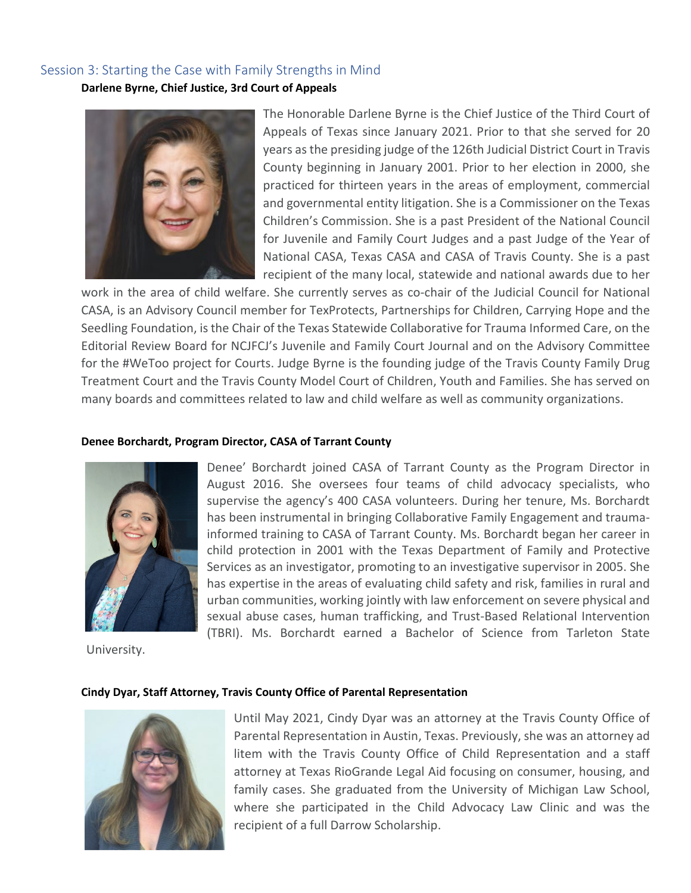# Session 3: Starting the Case with Family Strengths in Mind

**Darlene Byrne, Chief Justice, 3rd Court of Appeals**



The Honorable Darlene Byrne is the Chief Justice of the Third Court of Appeals of Texas since January 2021. Prior to that she served for 20 years as the presiding judge of the 126th Judicial District Court in Travis County beginning in January 2001. Prior to her election in 2000, she practiced for thirteen years in the areas of employment, commercial and governmental entity litigation. She is a Commissioner on the Texas Children's Commission. She is a past President of the National Council for Juvenile and Family Court Judges and a past Judge of the Year of National CASA, Texas CASA and CASA of Travis County. She is a past recipient of the many local, statewide and national awards due to her

work in the area of child welfare. She currently serves as co-chair of the Judicial Council for National CASA, is an Advisory Council member for TexProtects, Partnerships for Children, Carrying Hope and the Seedling Foundation, is the Chair of the Texas Statewide Collaborative for Trauma Informed Care, on the Editorial Review Board for NCJFCJ's Juvenile and Family Court Journal and on the Advisory Committee for the #WeToo project for Courts. Judge Byrne is the founding judge of the Travis County Family Drug Treatment Court and the Travis County Model Court of Children, Youth and Families. She has served on many boards and committees related to law and child welfare as well as community organizations.

#### **Denee Borchardt, Program Director, CASA of Tarrant County**



supervise the agency's 400 CASA volunteers. During her tenure, Ms. Borchardt has been instrumental in bringing Collaborative Family Engagement and traumainformed training to CASA of Tarrant County. Ms. Borchardt began her career in child protection in 2001 with the Texas Department of Family and Protective Services as an investigator, promoting to an investigative supervisor in 2005. She has expertise in the areas of evaluating child safety and risk, families in rural and urban communities, working jointly with law enforcement on severe physical and sexual abuse cases, human trafficking, and Trust-Based Relational Intervention (TBRI). Ms. Borchardt earned a Bachelor of Science from Tarleton State

Denee' Borchardt joined CASA of Tarrant County as the Program Director in August 2016. She oversees four teams of child advocacy specialists, who

University.

## **Cindy Dyar, Staff Attorney, Travis County Office of Parental Representation**



Until May 2021, Cindy Dyar was an attorney at the Travis County Office of Parental Representation in Austin, Texas. Previously, she was an attorney ad litem with the Travis County Office of Child Representation and a staff attorney at Texas RioGrande Legal Aid focusing on consumer, housing, and family cases. She graduated from the University of Michigan Law School, where she participated in the Child Advocacy Law Clinic and was the recipient of a full Darrow Scholarship.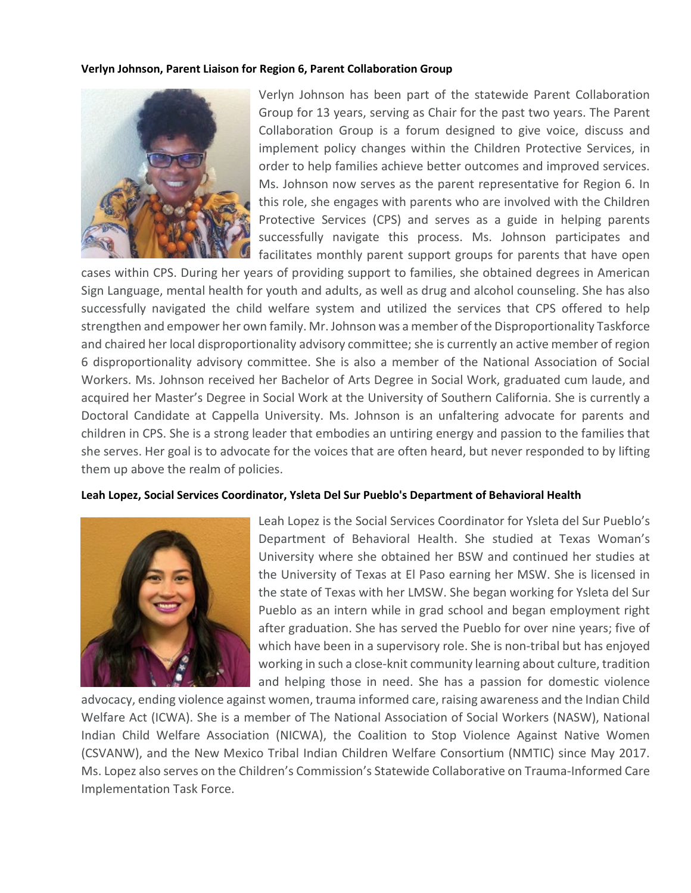## **Verlyn Johnson, Parent Liaison for Region 6, Parent Collaboration Group**



Verlyn Johnson has been part of the statewide Parent Collaboration Group for 13 years, serving as Chair for the past two years. The Parent Collaboration Group is a forum designed to give voice, discuss and implement policy changes within the Children Protective Services, in order to help families achieve better outcomes and improved services. Ms. Johnson now serves as the parent representative for Region 6. In this role, she engages with parents who are involved with the Children Protective Services (CPS) and serves as a guide in helping parents successfully navigate this process. Ms. Johnson participates and facilitates monthly parent support groups for parents that have open

cases within CPS. During her years of providing support to families, she obtained degrees in American Sign Language, mental health for youth and adults, as well as drug and alcohol counseling. She has also successfully navigated the child welfare system and utilized the services that CPS offered to help strengthen and empower her own family. Mr. Johnson was a member of the Disproportionality Taskforce and chaired her local disproportionality advisory committee; she is currently an active member of region 6 disproportionality advisory committee. She is also a member of the National Association of Social Workers. Ms. Johnson received her Bachelor of Arts Degree in Social Work, graduated cum laude, and acquired her Master's Degree in Social Work at the University of Southern California. She is currently a Doctoral Candidate at Cappella University. Ms. Johnson is an unfaltering advocate for parents and children in CPS. She is a strong leader that embodies an untiring energy and passion to the families that she serves. Her goal is to advocate for the voices that are often heard, but never responded to by lifting them up above the realm of policies.

## **Leah Lopez, Social Services Coordinator, Ysleta Del Sur Pueblo's Department of Behavioral Health**



Leah Lopez is the Social Services Coordinator for Ysleta del Sur Pueblo's Department of Behavioral Health. She studied at Texas Woman's University where she obtained her BSW and continued her studies at the University of Texas at El Paso earning her MSW. She is licensed in the state of Texas with her LMSW. She began working for Ysleta del Sur Pueblo as an intern while in grad school and began employment right after graduation. She has served the Pueblo for over nine years; five of which have been in a supervisory role. She is non-tribal but has enjoyed working in such a close-knit community learning about culture, tradition and helping those in need. She has a passion for domestic violence

advocacy, ending violence against women, trauma informed care, raising awareness and the Indian Child Welfare Act (ICWA). She is a member of The National Association of Social Workers (NASW), National Indian Child Welfare Association (NICWA), the Coalition to Stop Violence Against Native Women (CSVANW), and the New Mexico Tribal Indian Children Welfare Consortium (NMTIC) since May 2017. Ms. Lopez also serves on the Children's Commission's Statewide Collaborative on Trauma-Informed Care Implementation Task Force.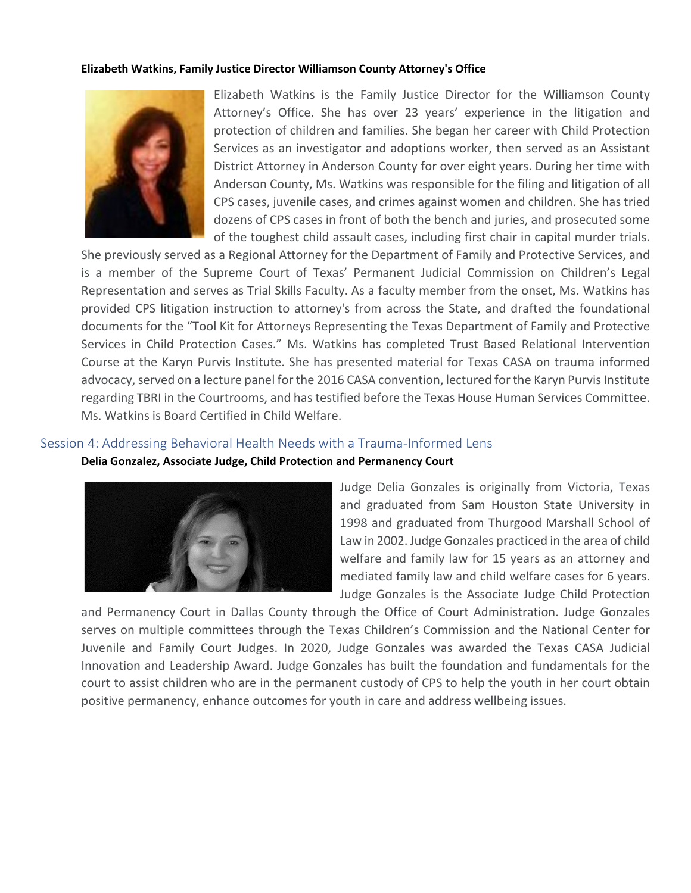#### **Elizabeth Watkins, Family Justice Director Williamson County Attorney's Office**



Elizabeth Watkins is the Family Justice Director for the Williamson County Attorney's Office. She has over 23 years' experience in the litigation and protection of children and families. She began her career with Child Protection Services as an investigator and adoptions worker, then served as an Assistant District Attorney in Anderson County for over eight years. During her time with Anderson County, Ms. Watkins was responsible for the filing and litigation of all CPS cases, juvenile cases, and crimes against women and children. She has tried dozens of CPS cases in front of both the bench and juries, and prosecuted some of the toughest child assault cases, including first chair in capital murder trials.

She previously served as a Regional Attorney for the Department of Family and Protective Services, and is a member of the Supreme Court of Texas' Permanent Judicial Commission on Children's Legal Representation and serves as Trial Skills Faculty. As a faculty member from the onset, Ms. Watkins has provided CPS litigation instruction to attorney's from across the State, and drafted the foundational documents for the "Tool Kit for Attorneys Representing the Texas Department of Family and Protective Services in Child Protection Cases." Ms. Watkins has completed Trust Based Relational Intervention Course at the Karyn Purvis Institute. She has presented material for Texas CASA on trauma informed advocacy, served on a lecture panel for the 2016 CASA convention, lectured for the Karyn Purvis Institute regarding TBRI in the Courtrooms, and has testified before the Texas House Human Services Committee. Ms. Watkins is Board Certified in Child Welfare.

# Session 4: Addressing Behavioral Health Needs with a Trauma-Informed Lens

# **Delia Gonzalez, Associate Judge, Child Protection and Permanency Court**



Judge Delia Gonzales is originally from Victoria, Texas and graduated from Sam Houston State University in 1998 and graduated from Thurgood Marshall School of Law in 2002. Judge Gonzales practiced in the area of child welfare and family law for 15 years as an attorney and mediated family law and child welfare cases for 6 years. Judge Gonzales is the Associate Judge Child Protection

and Permanency Court in Dallas County through the Office of Court Administration. Judge Gonzales serves on multiple committees through the Texas Children's Commission and the National Center for Juvenile and Family Court Judges. In 2020, Judge Gonzales was awarded the Texas CASA Judicial Innovation and Leadership Award. Judge Gonzales has built the foundation and fundamentals for the court to assist children who are in the permanent custody of CPS to help the youth in her court obtain positive permanency, enhance outcomes for youth in care and address wellbeing issues.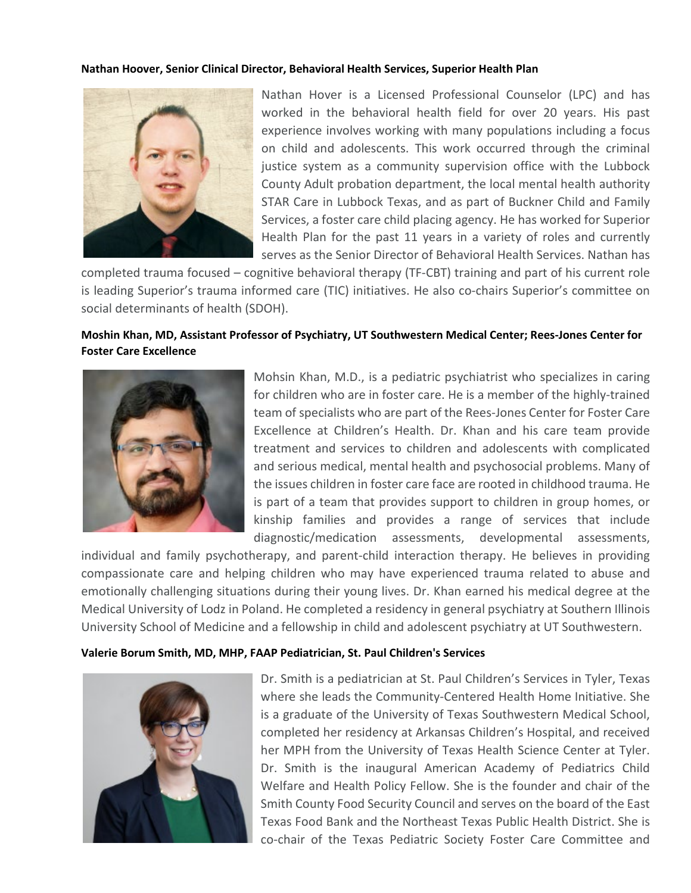## **Nathan Hoover, Senior Clinical Director, Behavioral Health Services, Superior Health Plan**



Nathan Hover is a Licensed Professional Counselor (LPC) and has worked in the behavioral health field for over 20 years. His past experience involves working with many populations including a focus on child and adolescents. This work occurred through the criminal justice system as a community supervision office with the Lubbock County Adult probation department, the local mental health authority STAR Care in Lubbock Texas, and as part of Buckner Child and Family Services, a foster care child placing agency. He has worked for Superior Health Plan for the past 11 years in a variety of roles and currently serves as the Senior Director of Behavioral Health Services. Nathan has

completed trauma focused – cognitive behavioral therapy (TF-CBT) training and part of his current role is leading Superior's trauma informed care (TIC) initiatives. He also co-chairs Superior's committee on social determinants of health (SDOH).

# **Moshin Khan, MD, Assistant Professor of Psychiatry, UT Southwestern Medical Center; Rees-Jones Center for Foster Care Excellence**



Mohsin Khan, M.D., is a pediatric psychiatrist who specializes in caring for children who are in foster care. He is a member of the highly-trained team of specialists who are part of the Rees-Jones Center for Foster Care Excellence at Children's Health. Dr. Khan and his care team provide treatment and services to children and adolescents with complicated and serious medical, mental health and psychosocial problems. Many of the issues children in foster care face are rooted in childhood trauma. He is part of a team that provides support to children in group homes, or kinship families and provides a range of services that include diagnostic/medication assessments, developmental assessments,

individual and family psychotherapy, and parent-child interaction therapy. He believes in providing compassionate care and helping children who may have experienced trauma related to abuse and emotionally challenging situations during their young lives. Dr. Khan earned his medical degree at the Medical University of Lodz in Poland. He completed a residency in general psychiatry at Southern Illinois University School of Medicine and a fellowship in child and adolescent psychiatry at UT Southwestern.

## **Valerie Borum Smith, MD, MHP, FAAP Pediatrician, St. Paul Children's Services**



Dr. Smith is a pediatrician at St. Paul Children's Services in Tyler, Texas where she leads the Community-Centered Health Home Initiative. She is a graduate of the University of Texas Southwestern Medical School, completed her residency at Arkansas Children's Hospital, and received her MPH from the University of Texas Health Science Center at Tyler. Dr. Smith is the inaugural American Academy of Pediatrics Child Welfare and Health Policy Fellow. She is the founder and chair of the Smith County Food Security Council and serves on the board of the East Texas Food Bank and the Northeast Texas Public Health District. She is co-chair of the Texas Pediatric Society Foster Care Committee and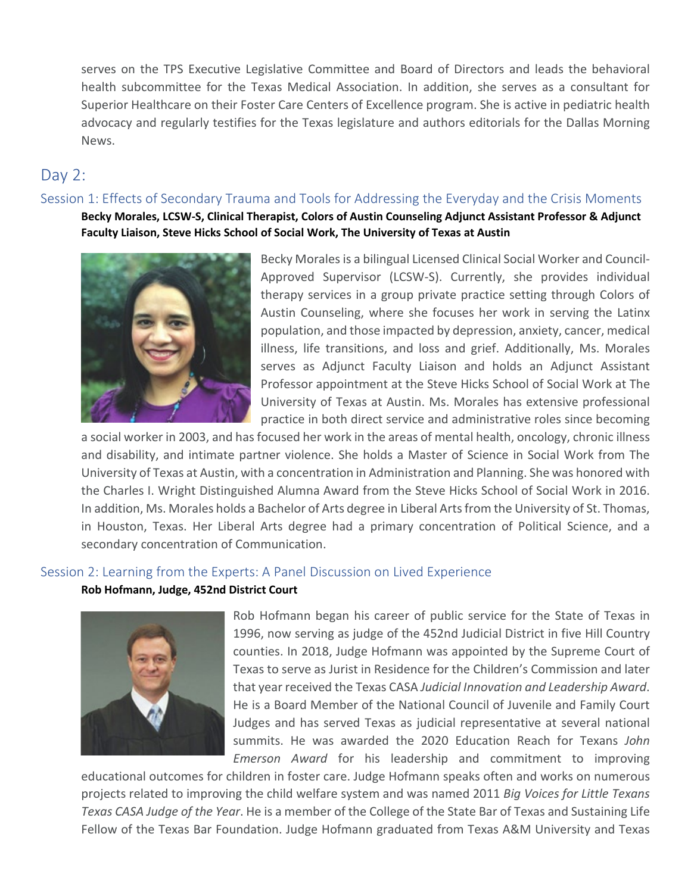serves on the TPS Executive Legislative Committee and Board of Directors and leads the behavioral health subcommittee for the Texas Medical Association. In addition, she serves as a consultant for Superior Healthcare on their Foster Care Centers of Excellence program. She is active in pediatric health advocacy and regularly testifies for the Texas legislature and authors editorials for the Dallas Morning News.

# Day 2:

# Session 1: Effects of Secondary Trauma and Tools for Addressing the Everyday and the Crisis Moments

**Becky Morales, LCSW-S, Clinical Therapist, Colors of Austin Counseling Adjunct Assistant Professor & Adjunct Faculty Liaison, Steve Hicks School of Social Work, The University of Texas at Austin**



Becky Morales is a bilingual Licensed Clinical Social Worker and Council-Approved Supervisor (LCSW-S). Currently, she provides individual therapy services in a group private practice setting through Colors of Austin Counseling, where she focuses her work in serving the Latinx population, and those impacted by depression, anxiety, cancer, medical illness, life transitions, and loss and grief. Additionally, Ms. Morales serves as Adjunct Faculty Liaison and holds an Adjunct Assistant Professor appointment at the Steve Hicks School of Social Work at The University of Texas at Austin. Ms. Morales has extensive professional practice in both direct service and administrative roles since becoming

a social worker in 2003, and has focused her work in the areas of mental health, oncology, chronic illness and disability, and intimate partner violence. She holds a Master of Science in Social Work from The University of Texas at Austin, with a concentration in Administration and Planning. She was honored with the Charles I. Wright Distinguished Alumna Award from the Steve Hicks School of Social Work in 2016. In addition, Ms. Morales holds a Bachelor of Arts degree in Liberal Arts from the University of St. Thomas, in Houston, Texas. Her Liberal Arts degree had a primary concentration of Political Science, and a secondary concentration of Communication.

# Session 2: Learning from the Experts: A Panel Discussion on Lived Experience

## **Rob Hofmann, Judge, 452nd District Court**



Rob Hofmann began his career of public service for the State of Texas in 1996, now serving as judge of the 452nd Judicial District in five Hill Country counties. In 2018, Judge Hofmann was appointed by the Supreme Court of Texas to serve as Jurist in Residence for the Children's Commission and later that year received the Texas CASA *Judicial Innovation and Leadership Award*. He is a Board Member of the National Council of Juvenile and Family Court Judges and has served Texas as judicial representative at several national summits. He was awarded the 2020 Education Reach for Texans *John Emerson Award* for his leadership and commitment to improving

educational outcomes for children in foster care. Judge Hofmann speaks often and works on numerous projects related to improving the child welfare system and was named 2011 *Big Voices for Little Texans Texas CASA Judge of the Year*. He is a member of the College of the State Bar of Texas and Sustaining Life Fellow of the Texas Bar Foundation. Judge Hofmann graduated from Texas A&M University and Texas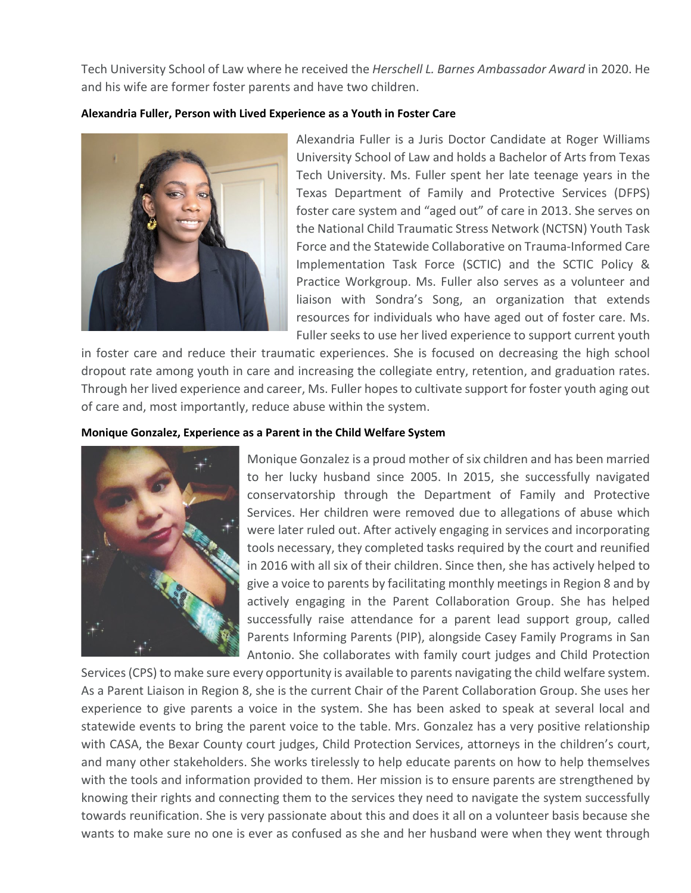Tech University School of Law where he received the *Herschell L. Barnes Ambassador Award* in 2020. He and his wife are former foster parents and have two children.

# **Alexandria Fuller, Person with Lived Experience as a Youth in Foster Care**



Alexandria Fuller is a Juris Doctor Candidate at Roger Williams University School of Law and holds a Bachelor of Arts from Texas Tech University. Ms. Fuller spent her late teenage years in the Texas Department of Family and Protective Services (DFPS) foster care system and "aged out" of care in 2013. She serves on the National Child Traumatic Stress Network (NCTSN) Youth Task Force and the Statewide Collaborative on Trauma-Informed Care Implementation Task Force (SCTIC) and the SCTIC Policy & Practice Workgroup. Ms. Fuller also serves as a volunteer and liaison with Sondra's Song, an organization that extends resources for individuals who have aged out of foster care. Ms. Fuller seeks to use her lived experience to support current youth

in foster care and reduce their traumatic experiences. She is focused on decreasing the high school dropout rate among youth in care and increasing the collegiate entry, retention, and graduation rates. Through her lived experience and career, Ms. Fuller hopes to cultivate support for foster youth aging out of care and, most importantly, reduce abuse within the system.

## **Monique Gonzalez, Experience as a Parent in the Child Welfare System**



Monique Gonzalez is a proud mother of six children and has been married to her lucky husband since 2005. In 2015, she successfully navigated conservatorship through the Department of Family and Protective Services. Her children were removed due to allegations of abuse which were later ruled out. After actively engaging in services and incorporating tools necessary, they completed tasks required by the court and reunified in 2016 with all six of their children. Since then, she has actively helped to give a voice to parents by facilitating monthly meetings in Region 8 and by actively engaging in the Parent Collaboration Group. She has helped successfully raise attendance for a parent lead support group, called Parents Informing Parents (PIP), alongside Casey Family Programs in San Antonio. She collaborates with family court judges and Child Protection

Services (CPS) to make sure every opportunity is available to parents navigating the child welfare system. As a Parent Liaison in Region 8, she is the current Chair of the Parent Collaboration Group. She uses her experience to give parents a voice in the system. She has been asked to speak at several local and statewide events to bring the parent voice to the table. Mrs. Gonzalez has a very positive relationship with CASA, the Bexar County court judges, Child Protection Services, attorneys in the children's court, and many other stakeholders. She works tirelessly to help educate parents on how to help themselves with the tools and information provided to them. Her mission is to ensure parents are strengthened by knowing their rights and connecting them to the services they need to navigate the system successfully towards reunification. She is very passionate about this and does it all on a volunteer basis because she wants to make sure no one is ever as confused as she and her husband were when they went through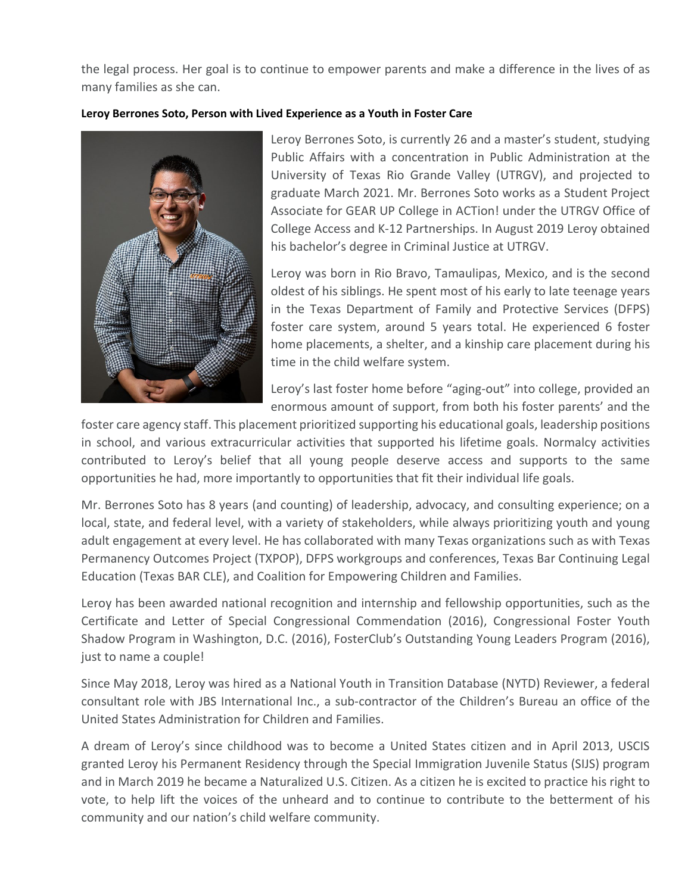the legal process. Her goal is to continue to empower parents and make a difference in the lives of as many families as she can.

# **Leroy Berrones Soto, Person with Lived Experience as a Youth in Foster Care**



Leroy Berrones Soto, is currently 26 and a master's student, studying Public Affairs with a concentration in Public Administration at the University of Texas Rio Grande Valley (UTRGV), and projected to graduate March 2021. Mr. Berrones Soto works as a Student Project Associate for GEAR UP College in ACTion! under the UTRGV Office of College Access and K-12 Partnerships. In August 2019 Leroy obtained his bachelor's degree in Criminal Justice at UTRGV.

Leroy was born in Rio Bravo, Tamaulipas, Mexico, and is the second oldest of his siblings. He spent most of his early to late teenage years in the Texas Department of Family and Protective Services (DFPS) foster care system, around 5 years total. He experienced 6 foster home placements, a shelter, and a kinship care placement during his time in the child welfare system.

Leroy's last foster home before "aging-out" into college, provided an enormous amount of support, from both his foster parents' and the

foster care agency staff. This placement prioritized supporting his educational goals, leadership positions in school, and various extracurricular activities that supported his lifetime goals. Normalcy activities contributed to Leroy's belief that all young people deserve access and supports to the same opportunities he had, more importantly to opportunities that fit their individual life goals.

Mr. Berrones Soto has 8 years (and counting) of leadership, advocacy, and consulting experience; on a local, state, and federal level, with a variety of stakeholders, while always prioritizing youth and young adult engagement at every level. He has collaborated with many Texas organizations such as with Texas Permanency Outcomes Project (TXPOP), DFPS workgroups and conferences, Texas Bar Continuing Legal Education (Texas BAR CLE), and Coalition for Empowering Children and Families.

Leroy has been awarded national recognition and internship and fellowship opportunities, such as the Certificate and Letter of Special Congressional Commendation (2016), Congressional Foster Youth Shadow Program in Washington, D.C. (2016), FosterClub's Outstanding Young Leaders Program (2016), just to name a couple!

Since May 2018, Leroy was hired as a National Youth in Transition Database (NYTD) Reviewer, a federal consultant role with JBS International Inc., a sub-contractor of the Children's Bureau an office of the United States Administration for Children and Families.

A dream of Leroy's since childhood was to become a United States citizen and in April 2013, USCIS granted Leroy his Permanent Residency through the Special Immigration Juvenile Status (SIJS) program and in March 2019 he became a Naturalized U.S. Citizen. As a citizen he is excited to practice his right to vote, to help lift the voices of the unheard and to continue to contribute to the betterment of his community and our nation's child welfare community.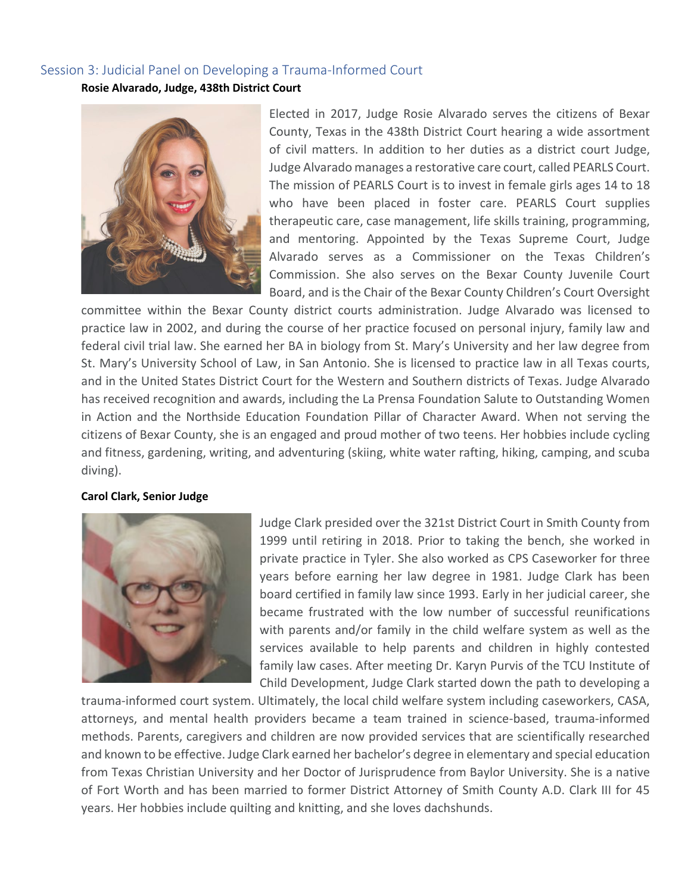# Session 3: Judicial Panel on Developing a Trauma-Informed Court

**Rosie Alvarado, Judge, 438th District Court**



Elected in 2017, Judge Rosie Alvarado serves the citizens of Bexar County, Texas in the 438th District Court hearing a wide assortment of civil matters. In addition to her duties as a district court Judge, Judge Alvarado manages a restorative care court, called PEARLS Court. The mission of PEARLS Court is to invest in female girls ages 14 to 18 who have been placed in foster care. PEARLS Court supplies therapeutic care, case management, life skills training, programming, and mentoring. Appointed by the Texas Supreme Court, Judge Alvarado serves as a Commissioner on the Texas Children's Commission. She also serves on the Bexar County Juvenile Court Board, and is the Chair of the Bexar County Children's Court Oversight

committee within the Bexar County district courts administration. Judge Alvarado was licensed to practice law in 2002, and during the course of her practice focused on personal injury, family law and federal civil trial law. She earned her BA in biology from St. Mary's University and her law degree from St. Mary's University School of Law, in San Antonio. She is licensed to practice law in all Texas courts, and in the United States District Court for the Western and Southern districts of Texas. Judge Alvarado has received recognition and awards, including the La Prensa Foundation Salute to Outstanding Women in Action and the Northside Education Foundation Pillar of Character Award. When not serving the citizens of Bexar County, she is an engaged and proud mother of two teens. Her hobbies include cycling and fitness, gardening, writing, and adventuring (skiing, white water rafting, hiking, camping, and scuba diving).

## **Carol Clark, Senior Judge**



Judge Clark presided over the 321st District Court in Smith County from 1999 until retiring in 2018. Prior to taking the bench, she worked in private practice in Tyler. She also worked as CPS Caseworker for three years before earning her law degree in 1981. Judge Clark has been board certified in family law since 1993. Early in her judicial career, she became frustrated with the low number of successful reunifications with parents and/or family in the child welfare system as well as the services available to help parents and children in highly contested family law cases. After meeting Dr. Karyn Purvis of the TCU Institute of Child Development, Judge Clark started down the path to developing a

trauma-informed court system. Ultimately, the local child welfare system including caseworkers, CASA, attorneys, and mental health providers became a team trained in science-based, trauma-informed methods. Parents, caregivers and children are now provided services that are scientifically researched and known to be effective. Judge Clark earned her bachelor's degree in elementary and special education from Texas Christian University and her Doctor of Jurisprudence from Baylor University. She is a native of Fort Worth and has been married to former District Attorney of Smith County A.D. Clark III for 45 years. Her hobbies include quilting and knitting, and she loves dachshunds.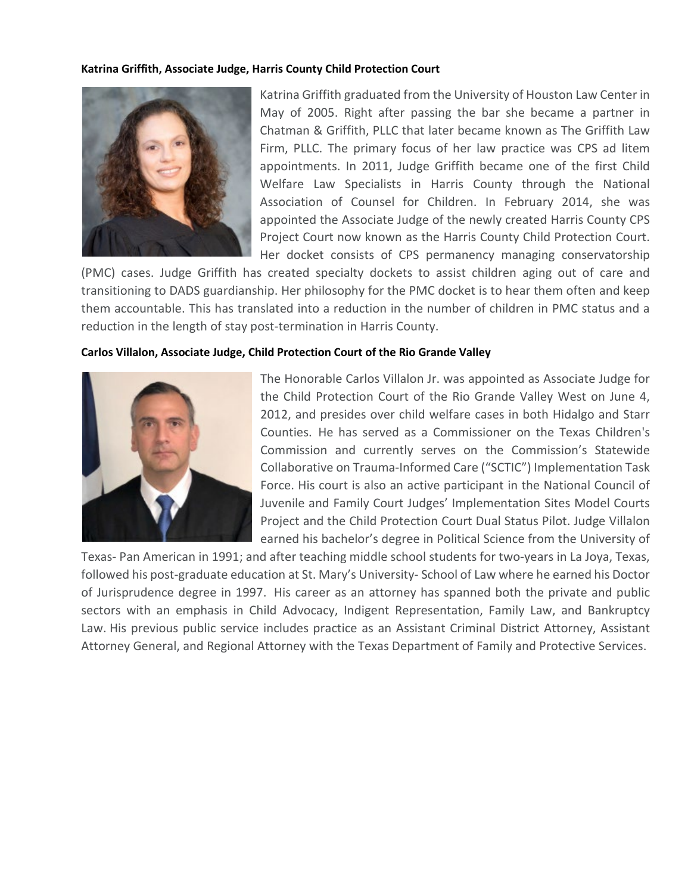## **Katrina Griffith, Associate Judge, Harris County Child Protection Court**



Katrina Griffith graduated from the University of Houston Law Center in May of 2005. Right after passing the bar she became a partner in Chatman & Griffith, PLLC that later became known as The Griffith Law Firm, PLLC. The primary focus of her law practice was CPS ad litem appointments. In 2011, Judge Griffith became one of the first Child Welfare Law Specialists in Harris County through the National Association of Counsel for Children. In February 2014, she was appointed the Associate Judge of the newly created Harris County CPS Project Court now known as the Harris County Child Protection Court. Her docket consists of CPS permanency managing conservatorship

(PMC) cases. Judge Griffith has created specialty dockets to assist children aging out of care and transitioning to DADS guardianship. Her philosophy for the PMC docket is to hear them often and keep them accountable. This has translated into a reduction in the number of children in PMC status and a reduction in the length of stay post-termination in Harris County.

## **Carlos Villalon, Associate Judge, Child Protection Court of the Rio Grande Valley**



The Honorable Carlos Villalon Jr. was appointed as Associate Judge for the Child Protection Court of the Rio Grande Valley West on June 4, 2012, and presides over child welfare cases in both Hidalgo and Starr Counties. He has served as a Commissioner on the Texas Children's Commission and currently serves on the Commission's Statewide Collaborative on Trauma-Informed Care ("SCTIC") Implementation Task Force. His court is also an active participant in the National Council of Juvenile and Family Court Judges' Implementation Sites Model Courts Project and the Child Protection Court Dual Status Pilot. Judge Villalon earned his bachelor's degree in Political Science from the University of

Texas- Pan American in 1991; and after teaching middle school students for two-years in La Joya, Texas, followed his post-graduate education at St. Mary's University- School of Law where he earned his Doctor of Jurisprudence degree in 1997. His career as an attorney has spanned both the private and public sectors with an emphasis in Child Advocacy, Indigent Representation, Family Law, and Bankruptcy Law. His previous public service includes practice as an Assistant Criminal District Attorney, Assistant Attorney General, and Regional Attorney with the Texas Department of Family and Protective Services.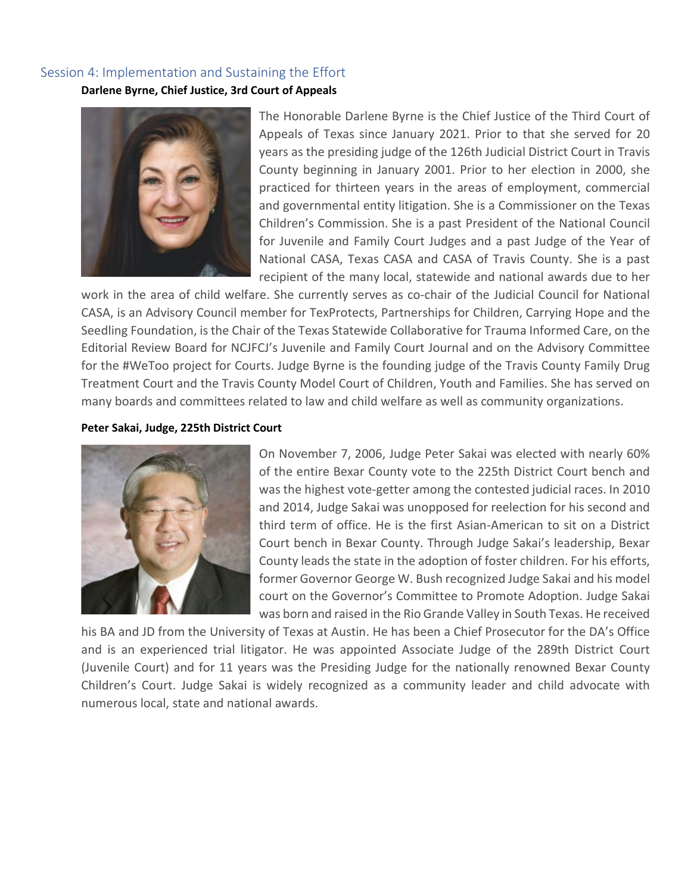# Session 4: Implementation and Sustaining the Effort

**Darlene Byrne, Chief Justice, 3rd Court of Appeals**



The Honorable Darlene Byrne is the Chief Justice of the Third Court of Appeals of Texas since January 2021. Prior to that she served for 20 years as the presiding judge of the 126th Judicial District Court in Travis County beginning in January 2001. Prior to her election in 2000, she practiced for thirteen years in the areas of employment, commercial and governmental entity litigation. She is a Commissioner on the Texas Children's Commission. She is a past President of the National Council for Juvenile and Family Court Judges and a past Judge of the Year of National CASA, Texas CASA and CASA of Travis County. She is a past recipient of the many local, statewide and national awards due to her

work in the area of child welfare. She currently serves as co-chair of the Judicial Council for National CASA, is an Advisory Council member for TexProtects, Partnerships for Children, Carrying Hope and the Seedling Foundation, is the Chair of the Texas Statewide Collaborative for Trauma Informed Care, on the Editorial Review Board for NCJFCJ's Juvenile and Family Court Journal and on the Advisory Committee for the #WeToo project for Courts. Judge Byrne is the founding judge of the Travis County Family Drug Treatment Court and the Travis County Model Court of Children, Youth and Families. She has served on many boards and committees related to law and child welfare as well as community organizations.

## **Peter Sakai, Judge, 225th District Court**



On November 7, 2006, Judge Peter Sakai was elected with nearly 60% of the entire Bexar County vote to the 225th District Court bench and was the highest vote-getter among the contested judicial races. In 2010 and 2014, Judge Sakai was unopposed for reelection for his second and third term of office. He is the first Asian-American to sit on a District Court bench in Bexar County. Through Judge Sakai's leadership, Bexar County leads the state in the adoption of foster children. For his efforts, former Governor George W. Bush recognized Judge Sakai and his model court on the Governor's Committee to Promote Adoption. Judge Sakai was born and raised in the Rio Grande Valley in South Texas. He received

his BA and JD from the University of Texas at Austin. He has been a Chief Prosecutor for the DA's Office and is an experienced trial litigator. He was appointed Associate Judge of the 289th District Court (Juvenile Court) and for 11 years was the Presiding Judge for the nationally renowned Bexar County Children's Court. Judge Sakai is widely recognized as a community leader and child advocate with numerous local, state and national awards.